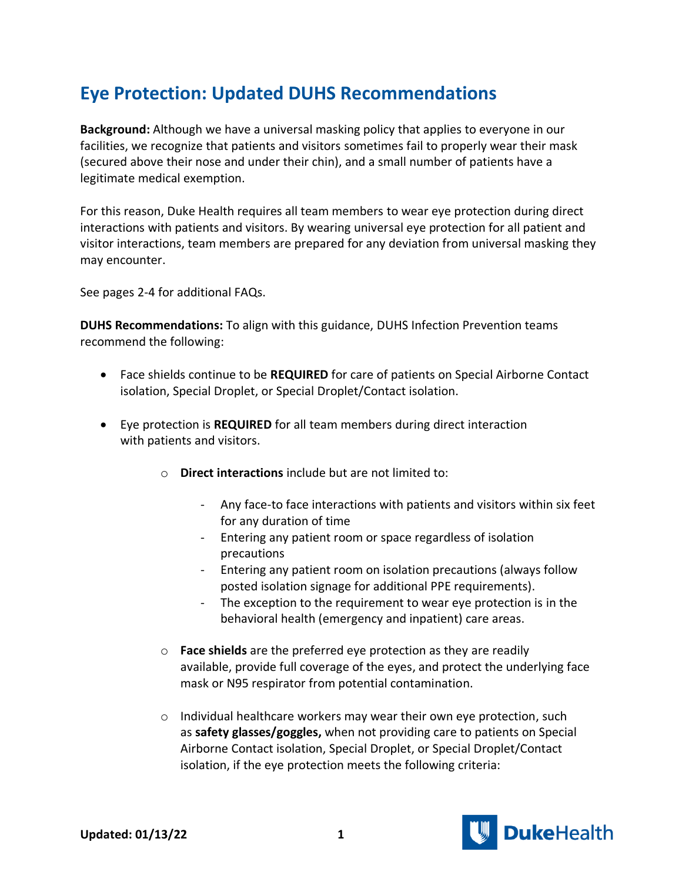## **Eye Protection: Updated DUHS Recommendations**

**Background:** Although we have a universal masking policy that applies to everyone in our facilities, we recognize that patients and visitors sometimes fail to properly wear their mask (secured above their nose and under their chin), and a small number of patients have a legitimate medical exemption.

For this reason, Duke Health requires all team members to wear eye protection during direct interactions with patients and visitors. By wearing universal eye protection for all patient and visitor interactions, team members are prepared for any deviation from universal masking they may encounter.

See pages 2-4 for additional FAQs.

**DUHS Recommendations:** To align with this guidance, DUHS Infection Prevention teams recommend the following:

- Face shields continue to be **REQUIRED** for care of patients on Special Airborne Contact isolation, Special Droplet, or Special Droplet/Contact isolation.
- Eye protection is **REQUIRED** for all team members during direct interaction with patients and visitors.
	- o **Direct interactions** include but are not limited to:
		- Any face-to face interactions with patients and visitors within six feet for any duration of time
		- Entering any patient room or space regardless of isolation precautions
		- Entering any patient room on isolation precautions (always follow posted isolation signage for additional PPE requirements).
		- The exception to the requirement to wear eye protection is in the behavioral health (emergency and inpatient) care areas.
	- o **Face shields** are the preferred eye protection as they are readily available, provide full coverage of the eyes, and protect the underlying face mask or N95 respirator from potential contamination.
	- o Individual healthcare workers may wear their own eye protection, such as **safety glasses/goggles,** when not providing care to patients on Special Airborne Contact isolation, Special Droplet, or Special Droplet/Contact isolation, if the eye protection meets the following criteria:

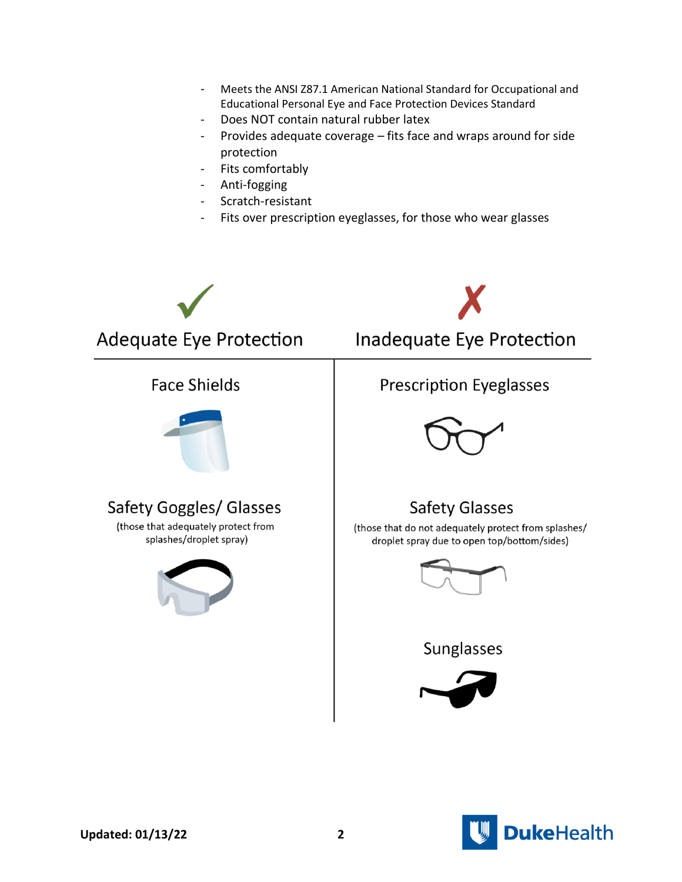- Meets the ANSI Z87.1 American National Standard for Occupational and Educational Personal Eye and Face Protection Devices Standard
- Does NOT contain natural rubber latex
- Provides adequate coverage – fits face and wraps around for side protection
- Fits comfortably
- Anti-fogging
- Scratch-resistant
- Fits over prescription eyeglasses, for those who wear glasses



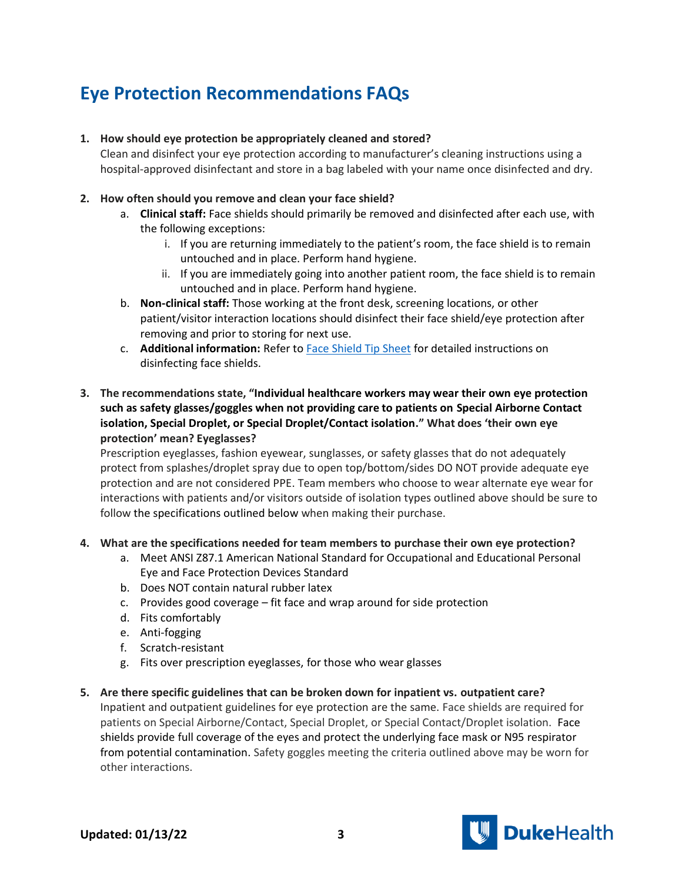# **Eye Protection Recommendations FAQs**

### **1. How should eye protection be appropriately cleaned and stored?**

Clean and disinfect your eye protection according to manufacturer's cleaning instructions using a hospital-approved disinfectant and store in a bag labeled with your name once disinfected and dry.

### **2. How often should you remove and clean your face shield?**

- a. **Clinical staff:** Face shields should primarily be removed and disinfected after each use, with the following exceptions:
	- i. If you are returning immediately to the patient's room, the face shield is to remain untouched and in place. Perform hand hygiene.
	- ii. If you are immediately going into another patient room, the face shield is to remain untouched and in place. Perform hand hygiene.
- b. **Non-clinical staff:** Those working at the front desk, screening locations, or other patient/visitor interaction locations should disinfect their face shield/eye protection after removing and prior to storing for next use.
- c. **Additional information:** Refer to [Face Shield Tip Sheet](https://covid-19.dukehealth.org/documents/face-shield-tip-sheet) for detailed instructions on disinfecting face shields.

## **3. The recommendations state, "Individual healthcare workers may wear their own eye protection such as safety glasses/goggles when not providing care to patients on Special Airborne Contact isolation, Special Droplet, or Special Droplet/Contact isolation." What does 'their own eye protection' mean? Eyeglasses?**

Prescription eyeglasses, fashion eyewear, sunglasses, or safety glasses that do not adequately protect from splashes/droplet spray due to open top/bottom/sides DO NOT provide adequate eye protection and are not considered PPE. Team members who choose to wear alternate eye wear for interactions with patients and/or visitors outside of isolation types outlined above should be sure to follow the specifications outlined below when making their purchase.

#### **4. What are the specifications needed for team members to purchase their own eye protection?**

- a. Meet ANSI Z87.1 American National Standard for Occupational and Educational Personal Eye and Face Protection Devices Standard
- b. Does NOT contain natural rubber latex
- c. Provides good coverage fit face and wrap around for side protection
- d. Fits comfortably
- e. Anti-fogging
- f. Scratch-resistant
- g. Fits over prescription eyeglasses, for those who wear glasses

#### **5. Are there specific guidelines that can be broken down for inpatient vs. outpatient care?**

Inpatient and outpatient guidelines for eye protection are the same. Face shields are required for patients on Special Airborne/Contact, Special Droplet, or Special Contact/Droplet isolation. Face shields provide full coverage of the eyes and protect the underlying face mask or N95 respirator from potential contamination. Safety goggles meeting the criteria outlined above may be worn for other interactions.